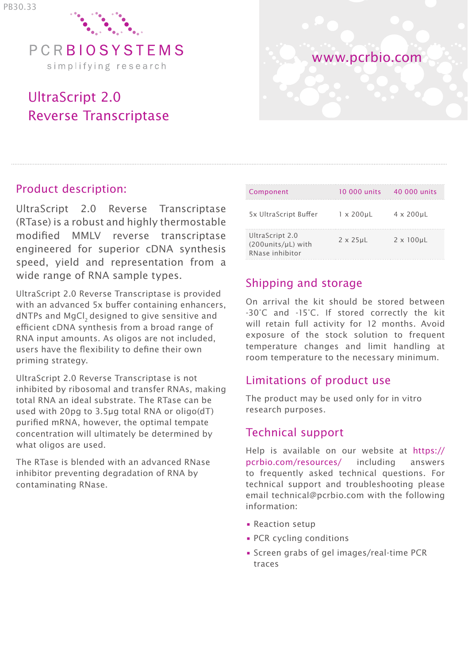

# UltraScript 2.0 Reverse Transcriptase

# www.pcrbio.com

## Product description:

UltraScript 2.0 Reverse Transcriptase (RTase) is a robust and highly thermostable modified MMLV reverse transcriptase engineered for superior cDNA synthesis speed, yield and representation from a wide range of RNA sample types.

UltraScript 2.0 Reverse Transcriptase is provided with an advanced 5x buffer containing enhancers, dNTPs and MgCl, designed to give sensitive and efficient cDNA synthesis from a broad range of RNA input amounts. As oligos are not included, users have the flexibility to define their own priming strategy.

UltraScript 2.0 Reverse Transcriptase is not inhibited by ribosomal and transfer RNAs, making total RNA an ideal substrate. The RTase can be used with 20pg to 3.5μg total RNA or oligo(dT) purified mRNA, however, the optimal tempate concentration will ultimately be determined by what oligos are used.

The RTase is blended with an advanced RNase inhibitor preventing degradation of RNA by contaminating RNase.

| Component                                                | 10 000 units        | 40.000 units         |
|----------------------------------------------------------|---------------------|----------------------|
| 5x UltraScript Buffer                                    | $1 \times 200$ uL   | $4 \times 200$ uL    |
| UltraScript 2.0<br>(200units/µL) with<br>RNase inhibitor | $2 \times 25 \mu L$ | $2 \times 100 \mu L$ |

# Shipping and storage

On arrival the kit should be stored between -30°C and -15°C. If stored correctly the kit will retain full activity for 12 months. Avoid exposure of the stock solution to frequent temperature changes and limit handling at room temperature to the necessary minimum.

# Limitations of product use

The product may be used only for in vitro research purposes.

# Technical support

Help is available on our website at https:// pcrbio.com/resources/ including answers to frequently asked technical questions. For technical support and troubleshooting please email technical@pcrbio.com with the following information:

- Reaction setup
- PCR cycling conditions
- Screen grabs of gel images/real-time PCR traces